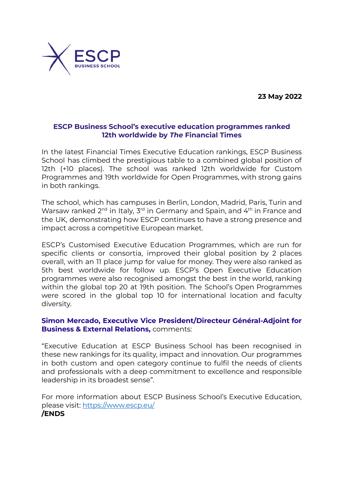**23 May 2022**



## **ESCP Business School's executive education programmes ranked 12th worldwide by** *The* **Financial Times**

In the latest Financial Times Executive Education rankings, ESCP Business School has climbed the prestigious table to a combined global position of 12th (+10 places). The school was ranked 12th worldwide for Custom Programmes and 19th worldwide for Open Programmes, with strong gains in both rankings.

The school, which has campuses in Berlin, London, Madrid, Paris, Turin and Warsaw ranked 2<sup>nd</sup> in Italy, 3<sup>rd</sup> in Germany and Spain, and 4<sup>th</sup> in France and the UK, demonstrating how ESCP continues to have a strong presence and impact across a competitive European market.

ESCP's Customised Executive Education Programmes, which are run for specific clients or consortia, improved their global position by 2 places overall, with an 11 place jump for value for money. They were also ranked as 5th best worldwide for follow up. ESCP's Open Executive Education programmes were also recognised amongst the best in the world, ranking within the global top 20 at 19th position. The School's Open Programmes were scored in the global top 10 for international location and faculty diversity.

# **Simon Mercado, Executive Vice President/Directeur Général-Adjoint for Business & External Relations,** comments:

"Executive Education at ESCP Business School has been recognised in these new rankings for its quality, impact and innovation. Our programmes in both custom and open category continue to fulfil the needs of clients and professionals with a deep commitment to excellence and responsible leadership in its broadest sense".

For more information about ESCP Business School's Executive Education, please visit: <https://www.escp.eu/>

**/ENDS**